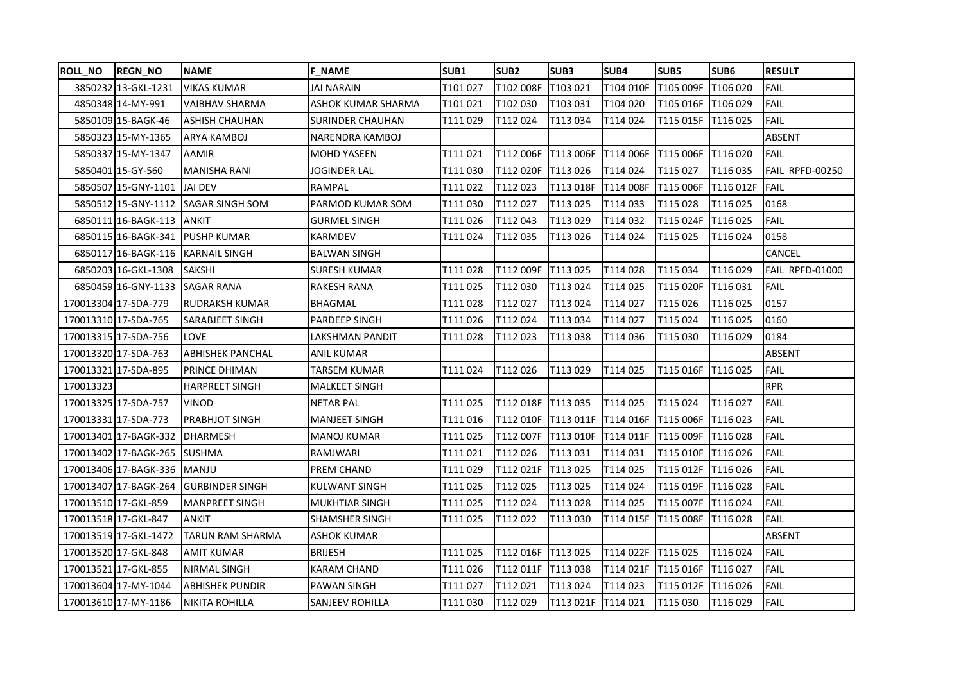| <b>ROLL_NO</b> | <b>REGN_NO</b>        | <b>NAME</b>             | <b>F NAME</b>      | SUB1     | SUB <sub>2</sub>      | SUB <sub>3</sub> | <b>SUB4</b> | SUB5                             | SUB <sub>6</sub> | <b>RESULT</b>   |
|----------------|-----------------------|-------------------------|--------------------|----------|-----------------------|------------------|-------------|----------------------------------|------------------|-----------------|
|                | 3850232 13-GKL-1231   | <b>VIKAS KUMAR</b>      | <b>JAI NARAIN</b>  | T101 027 | T102 008F             | T103 021         | T104 010F   | T105 009F                        | T106 020         | FAIL            |
|                | 4850348 14-MY-991     | <b>VAIBHAV SHARMA</b>   | ASHOK KUMAR SHARMA | T101021  | T102 030              | T103 031         | T104 020    | T105 016F                        | T106 029         | FAIL            |
|                | 5850109 15-BAGK-46    | <b>ASHISH CHAUHAN</b>   | SURINDER CHAUHAN   | T111 029 | T112 024              | T113034          | T114 024    | T115 015F                        | T116 025         | FAIL            |
|                | 5850323 15-MY-1365    | ARYA KAMBOJ             | NARENDRA KAMBOJ    |          |                       |                  |             |                                  |                  | ABSENT          |
|                | 5850337 15-MY-1347    | <b>AAMIR</b>            | MOHD YASEEN        | T111 021 | T112 006F T113 006F   |                  |             | T114 006F T115 006F T116 020     |                  | FAIL            |
|                | 5850401 15-GY-560     | <b>MANISHA RANI</b>     | JOGINDER LAL       | T111 030 | T112 020F             | T113 026         | T114 024    | T115 027                         | T116 035         | FAIL RPFD-00250 |
|                | 5850507 15-GNY-1101   | <b>JAI DEV</b>          | RAMPAL             | T111 022 | T112 023              | T113 018F        | T114 008F   | T115 006F T116 012F              |                  | <b>FAIL</b>     |
|                | 5850512 15-GNY-1112   | <b>SAGAR SINGH SOM</b>  | PARMOD KUMAR SOM   | T111 030 | T112 027              | T113 025         | T114 033    | T115 028                         | T116 025         | 0168            |
|                | 6850111 16-BAGK-113   | ANKIT                   | GURMEL SINGH       | T111 026 | T112 043              | T113 029         | T114 032    | T115 024F                        | T116 025         | FAIL            |
|                | 6850115 16-BAGK-341   | <b>PUSHP KUMAR</b>      | KARMDEV            | T111 024 | T112 035              | T113 026         | T114 024    | T115 025                         | T116024          | 0158            |
|                | 6850117 16-BAGK-116   | KARNAIL SINGH           | BALWAN SINGH       |          |                       |                  |             |                                  |                  | CANCEL          |
|                | 6850203 16-GKL-1308   | <b>SAKSHI</b>           | SURESH KUMAR       | T111 028 | T112 009F             | T113 025         | T114 028    | T115034                          | T116 029         | FAIL RPFD-01000 |
|                | 6850459 16-GNY-1133   | <b>SAGAR RANA</b>       | RAKESH RANA        | T111 025 | T112 030              | T113 024         | T114 025    | T115 020F                        | T116 031         | FAIL            |
|                | 170013304 17-SDA-779  | RUDRAKSH KUMAR          | BHAGMAL            | T111 028 | T112 027              | T113024          | T114 027    | T115 026                         | T116 025         | 0157            |
|                | 170013310 17-SDA-765  | SARABJEET SINGH         | PARDEEP SINGH      | T111 026 | T112 024              | T113034          | T114 027    | T115024                          | T116 025         | 0160            |
|                | 170013315 17-SDA-756  | LOVE                    | LAKSHMAN PANDIT    | T111 028 | T112 023              | T113038          | T114 036    | T115 030                         | T116 029         | 0184            |
|                | 170013320 17-SDA-763  | <b>ABHISHEK PANCHAL</b> | ANIL KUMAR         |          |                       |                  |             |                                  |                  | ABSENT          |
|                | 170013321 17-SDA-895  | PRINCE DHIMAN           | TARSEM KUMAR       | T111 024 | T112 026              | T113 029         | T114 025    | T115 016F                        | T116 025         | FAIL            |
| 170013323      |                       | <b>HARPREET SINGH</b>   | MALKEET SINGH      |          |                       |                  |             |                                  |                  | <b>RPR</b>      |
|                | 170013325 17-SDA-757  | VINOD                   | <b>NETAR PAL</b>   | T111 025 | T112 018F   T113 035  |                  | T114 025    | T115 024                         | T116 027         | FAIL            |
|                | 170013331 17-SDA-773  | <b>PRABHJOT SINGH</b>   | MANJEET SINGH      | T111016  | T112 010F             | T113 011F        | T114 016F   | T115 006F                        | T116 023         | FAIL            |
|                | 170013401 17-BAGK-332 | <b>DHARMESH</b>         | MANOJ KUMAR        | T111 025 | T112 007F   T113 010F |                  | T114 011F   | T115 009F                        | T116 028         | FAIL            |
|                | 170013402 17-BAGK-265 | <b>SUSHMA</b>           | RAMJWARI           | T111 021 | T112 026              | T113 031         | T114 031    | T115 010F T116 026               |                  | <b>FAIL</b>     |
|                | 170013406 17-BAGK-336 | MANJU                   | PREM CHAND         | T111 029 | T112 021F   T113 025  |                  | T114 025    | T115 012F T116 026               |                  | <b>FAIL</b>     |
|                | 170013407 17-BAGK-264 | <b>GURBINDER SINGH</b>  | KULWANT SINGH      | T111 025 | T112 025              | T113 025         | T114 024    | T115 019F                        | T116 028         | FAIL            |
|                | 170013510 17-GKL-859  | <b>MANPREET SINGH</b>   | MUKHTIAR SINGH     | T111 025 | T112 024              | T113 028         | T114 025    | T115 007F                        | T116 024         | <b>FAIL</b>     |
|                | 170013518 17-GKL-847  | <b>ANKIT</b>            | SHAMSHER SINGH     | T111 025 | T112 022              | T113 030         | T114 015F   | T115 008F                        | T116028          | FAIL            |
|                | 170013519 17-GKL-1472 | TARUN RAM SHARMA        | ASHOK KUMAR        |          |                       |                  |             |                                  |                  | ABSENT          |
|                | 170013520 17-GKL-848  | <b>AMIT KUMAR</b>       | <b>BRIJESH</b>     | T111 025 | T112 016F             | T113 025         | T114 022F   | T115 025                         | T116 024         | FAIL            |
|                | 170013521 17-GKL-855  | NIRMAL SINGH            | KARAM CHAND        | T111 026 | T112 011F   T113 038  |                  |             | T114 021F   T115 016F   T116 027 |                  | <b>FAIL</b>     |
|                | 170013604 17-MY-1044  | <b>ABHISHEK PUNDIR</b>  | <b>PAWAN SINGH</b> | T111 027 | T112 021              | T113 024         | T114 023    | T115 012F                        | T116 026         | FAIL            |
|                | 170013610 17-MY-1186  | <b>NIKITA ROHILLA</b>   | SANJEEV ROHILLA    | T111 030 | T112029               | T113 021F        | T114 021    | T115 030                         | T116 029         | <b>FAIL</b>     |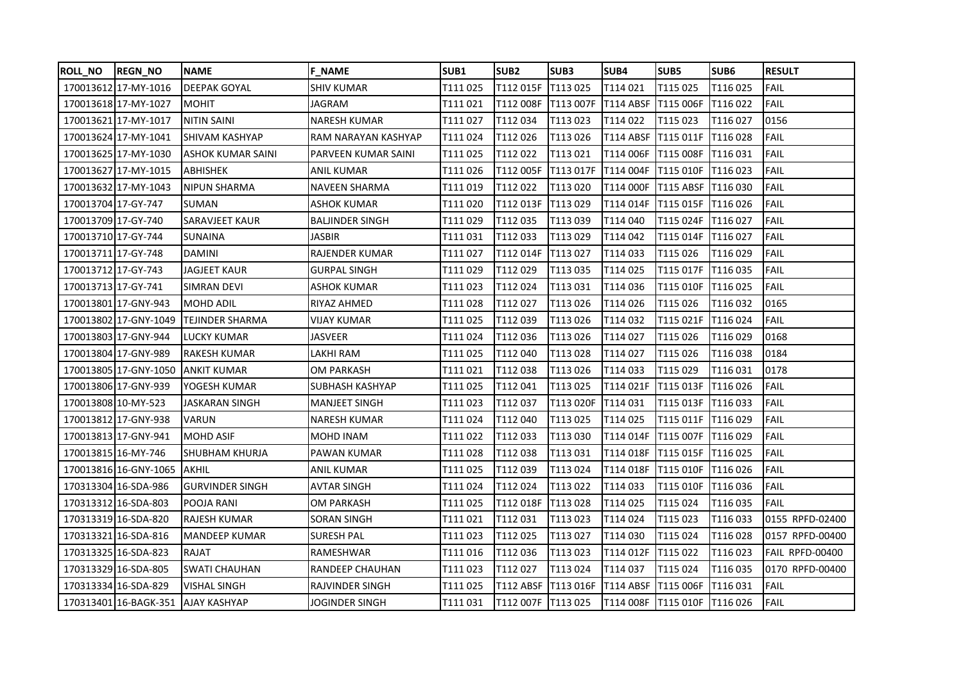| <b>ROLL_NO</b>      | <b>REGN_NO</b>        | <b>NAME</b>                        | <b>F NAME</b>          | SUB <sub>1</sub> | SUB <sub>2</sub>      | SUB3      | SUB4             | SUB5                         | SUB <sub>6</sub> | <b>RESULT</b>   |
|---------------------|-----------------------|------------------------------------|------------------------|------------------|-----------------------|-----------|------------------|------------------------------|------------------|-----------------|
|                     | 170013612 17-MY-1016  | <b>DEEPAK GOYAL</b>                | <b>SHIV KUMAR</b>      | T111 025         | T112 015F             | T113 025  | T114 021         | T115 025                     | T116 025         | <b>FAIL</b>     |
|                     | 17001361817-MY-1027   | <b>MOHIT</b>                       | <b>JAGRAM</b>          | T111 021         | T112 008F             | T113 007F | <b>T114 ABSF</b> | T115 006F                    | T116 022         | <b>FAIL</b>     |
|                     | 170013621 17-MY-1017  | <b>NITIN SAINI</b>                 | <b>NARESH KUMAR</b>    | T111 027         | T112 034              | T113 023  | T114 022         | T115023                      | T116 027         | 0156            |
|                     | 170013624 17-MY-1041  | <b>SHIVAM KASHYAP</b>              | RAM NARAYAN KASHYAP    | T111024          | T112026               | T113 026  | <b>T114 ABSF</b> | T115 011F                    | T116 028         | <b>FAIL</b>     |
|                     | 170013625 17-MY-1030  | <b>ASHOK KUMAR SAINI</b>           | PARVEEN KUMAR SAINI    | T111 025         | T112 022              | T113 021  | T114 006F        | T115 008F                    | T116 031         | <b>FAIL</b>     |
|                     | 170013627 17-MY-1015  | <b>ABHISHEK</b>                    | ANIL KUMAR             | T111 026         | T112 005F             | T113 017F | T114 004F        | T115 010F                    | T116023          | <b>FAIL</b>     |
|                     | 170013632 17-MY-1043  | NIPUN SHARMA                       | NAVEEN SHARMA          | T111 019         | T112 022              | T113 020  | T114 000F        | T115 ABSF   T116 030         |                  | <b>FAIL</b>     |
| 170013704 17-GY-747 |                       | <b>SUMAN</b>                       | <b>ASHOK KUMAR</b>     | T111 020         | T112 013F   T113 029  |           | T114 014F        | T115 015F                    | T116 026         | FAIL            |
| 170013709 17-GY-740 |                       | <b>SARAVJEET KAUR</b>              | <b>BALJINDER SINGH</b> | T111 029         | T112 035              | T113 039  | T114 040         | T115 024F                    | <b>T116027</b>   | <b>FAIL</b>     |
| 170013710 17-GY-744 |                       | <b>SUNAINA</b>                     | JASBIR                 | T111 031         | T112033               | T113 029  | T114 042         | T115 014F                    | T116 027         | FAIL            |
| 170013711 17-GY-748 |                       | <b>DAMINI</b>                      | RAJENDER KUMAR         | T111 027         | T112 014F             | T113 027  | T114 033         | T115 026                     | T116 029         | <b>FAIL</b>     |
| 170013712117-GY-743 |                       | JAGJEET KAUR                       | <b>GURPAL SINGH</b>    | T111 029         | T112 029              | T113 035  | T114 025         | T115 017F                    | T116 035         | <b>FAIL</b>     |
| 17001371317-GY-741  |                       | <b>SIMRAN DEVI</b>                 | ASHOK KUMAR            | T111 023         | T112 024              | T113 031  | T114 036         | T115 010F                    | T116 025         | <b>FAIL</b>     |
|                     | 170013801 17-GNY-943  | <b>MOHD ADIL</b>                   | RIYAZ AHMED            | T111 028         | T112 027              | T113 026  | T114 026         | T115 026                     | T116 032         | 0165            |
|                     | 170013802 17-GNY-1049 | <b>TEJINDER SHARMA</b>             | VIJAY KUMAR            | T111 025         | T112 039              | T113 026  | T114 032         | T115 021F                    | T116 024         | FAIL            |
|                     | 170013803 17-GNY-944  | <b>LUCKY KUMAR</b>                 | <b>JASVEER</b>         | T111024          | T112 036              | T113 026  | T114 027         | T115 026                     | T116 029         | 0168            |
|                     | 170013804 17-GNY-989  | <b>RAKESH KUMAR</b>                | LAKHI RAM              | T111 025         | T112 040              | T113 028  | T114 027         | T115 026                     | T116038          | 0184            |
|                     | 170013805 17-GNY-1050 | <b>ANKIT KUMAR</b>                 | OM PARKASH             | T111 021         | T112038               | T113026   | T114 033         | T115 029                     | T116031          | 0178            |
|                     | 170013806 17-GNY-939  | YOGESH KUMAR                       | SUBHASH KASHYAP        | T111 025         | T112 041              | T113 025  | T114 021F        | T115 013F                    | T116 026         | <b>FAIL</b>     |
| 170013808 10-MY-523 |                       | JASKARAN SINGH                     | <b>MANJEET SINGH</b>   | T111 023         | T112 037              | T113 020F | T114 031         | T115 013F T116 033           |                  | <b>FAIL</b>     |
|                     | 17001381217-GNY-938   | <b>VARUN</b>                       | <b>NARESH KUMAR</b>    | T111024          | T112 040              | T113 025  | T114 025         | T115 011F                    | T116 029         | <b>FAIL</b>     |
|                     | 170013813 17-GNY-941  | <b>MOHD ASIF</b>                   | MOHD INAM              | T111 022         | T112 033              | T113 030  | T114 014F        | T115 007F T116 029           |                  | <b>FAIL</b>     |
| 170013815 16-MY-746 |                       | SHUBHAM KHURJA                     | PAWAN KUMAR            | T111 028         | T112038               | T113 031  | T114 018F        | T115 015F                    | T116 025         | <b>FAIL</b>     |
|                     | 170013816 16-GNY-1065 | <b>AKHIL</b>                       | ANIL KUMAR             | T111 025         | T112 039              | T113 024  | T114 018F        | T115 010F                    | <b>T116026</b>   | <b>FAIL</b>     |
|                     | 170313304 16-SDA-986  | <b>GURVINDER SINGH</b>             | AVTAR SINGH            | T111 024         | T112024               | T113 022  | T114 033         | T115 010F                    | T116036          | FAIL            |
|                     | 170313312 16-SDA-803  | POOJA RANI                         | OM PARKASH             | T111 025         | T112 018F             | T113 028  | T114 025         | T115 024                     | T116 035         | <b>FAIL</b>     |
|                     | 170313319 16-SDA-820  | <b>RAJESH KUMAR</b>                | <b>SORAN SINGH</b>     | T111 021         | T112 031              | T113 023  | T114 024         | T115 023                     | T116 033         | 0155 RPFD-02400 |
|                     | 17031332116-SDA-816   | MANDEEP KUMAR                      | <b>SURESH PAL</b>      | T111 023         | T112 025              | T113 027  | T114 030         | T115 024                     | T116028          | 0157 RPFD-00400 |
|                     | 170313325 16-SDA-823  | RAJAT                              | RAMESHWAR              | T111 016         | T112 036              | T113 023  | T114 012F        | T115 022                     | T116 023         | FAIL RPFD-00400 |
|                     | 170313329 16-SDA-805  | <b>SWATI CHAUHAN</b>               | RANDEEP CHAUHAN        | T111 023         | T112 027              | T113 024  | T114 037         | T115 024                     | T116 035         | 0170 RPFD-00400 |
|                     | 170313334 16-SDA-829  | <b>VISHAL SINGH</b>                | RAJVINDER SINGH        | T111 025         | T112 ABSF   T113 016F |           | <b>T114 ABSF</b> | T115 006F                    | T116 031         | <b>FAIL</b>     |
|                     |                       | 170313401 16-BAGK-351 AJAY KASHYAP | <b>JOGINDER SINGH</b>  | T111 031         | T112 007F T113 025    |           |                  | T114 008F T115 010F T116 026 |                  | FAIL            |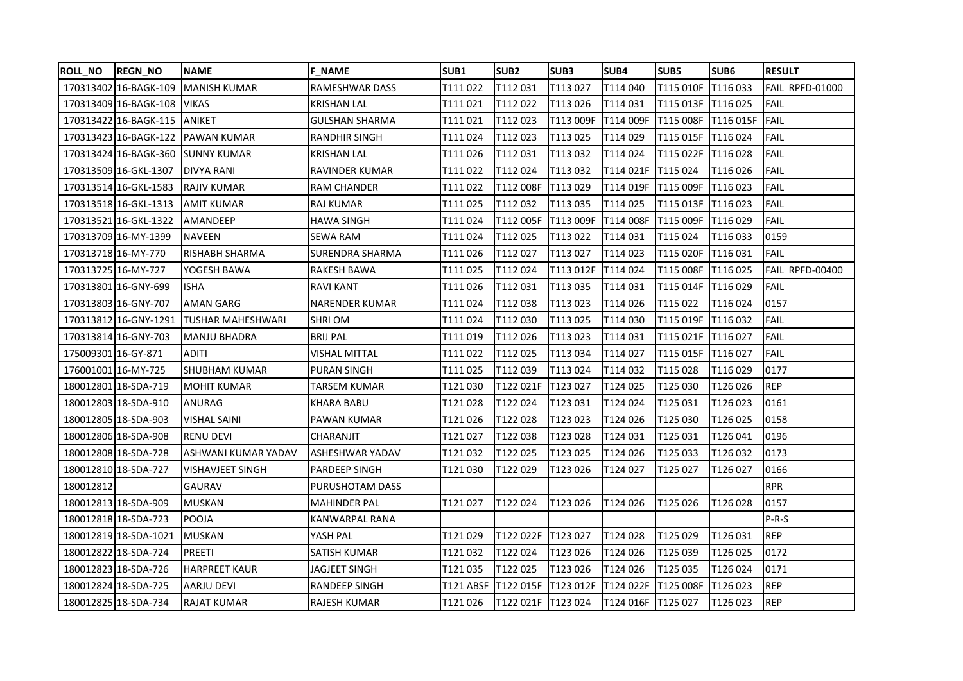| ROLL_NO             | <b>REGN_NO</b>               | <b>NAME</b>                       | <b>F NAME</b>         | SUB <sub>1</sub> | SUB <sub>2</sub>     | SUB <sub>3</sub> | SUB4               | SUB5             | SUB <sub>6</sub> | <b>RESULT</b>   |
|---------------------|------------------------------|-----------------------------------|-----------------------|------------------|----------------------|------------------|--------------------|------------------|------------------|-----------------|
|                     | 170313402 16-BAGK-109        | <b>MANISH KUMAR</b>               | RAMESHWAR DASS        | T111 022         | T112 031             | T113 027         | T114 040           | T115 010F        | T116 033         | FAIL RPFD-01000 |
|                     | 170313409 16-BAGK-108        | <b>VIKAS</b>                      | <b>KRISHAN LAL</b>    | T111 021         | T112022              | T113 026         | T114 031           | T115 013F        | T116 025         | <b>FAIL</b>     |
|                     | 170313422 16-BAGK-115 ANIKET |                                   | <b>GULSHAN SHARMA</b> | T111 021         | T112 023             | T113 009F        | T114 009F          | T115 008F        | T116 015F        | <b>FAIL</b>     |
|                     |                              | 170313423 16-BAGK-122 PAWAN KUMAR | RANDHIR SINGH         | T111 024         | T112 023             | T113 025         | T114 029           | T115 015F        | T116 024         | <b>FAIL</b>     |
|                     |                              | 170313424 16-BAGK-360 SUNNY KUMAR | <b>KRISHAN LAL</b>    | T111 026         | T112 031             | T113 032         | T114 024           | T115 022F        | T116 028         | <b>FAIL</b>     |
|                     | 170313509 16-GKL-1307        | <b>DIVYA RANI</b>                 | RAVINDER KUMAR        | T111 022         | T112 024             | T113 032         | T114 021F          | T115 024         | T116026          | <b>FAIL</b>     |
|                     | 170313514 16-GKL-1583        | <b>RAJIV KUMAR</b>                | <b>RAM CHANDER</b>    | T111 022         | T112 008F            | T113 029         | T114 019F          | T115 009F        | T116 023         | <b>FAIL</b>     |
|                     | 170313518 16-GKL-1313        | <b>AMIT KUMAR</b>                 | <b>RAJ KUMAR</b>      | T111 025         | T112 032             | T113 035         | T114 025           | T115 013F        | T116 023         | <b>FAIL</b>     |
|                     | 170313521 16-GKL-1322        | <b>AMANDEEP</b>                   | <b>HAWA SINGH</b>     | T111 024         | T112 005F            | T113 009F        | T114 008F          | T115 009F        | T116 029         | <b>FAIL</b>     |
|                     | 170313709 16-MY-1399         | <b>NAVEEN</b>                     | <b>SEWA RAM</b>       | T111 024         | T112 025             | T113 022         | T114 031           | T115 024         | T116033          | 0159            |
|                     | 170313718 16-MY-770          | <b>RISHABH SHARMA</b>             | SURENDRA SHARMA       | T111 026         | T112027              | T113 027         | T114 023           | T115 020F        | T116 031         | <b>FAIL</b>     |
| 170313725 16-MY-727 |                              | YOGESH BAWA                       | RAKESH BAWA           | T111 025         | T112 024             | T113 012F        | T114 024           | T115 008F        | T116 025         | FAIL RPFD-00400 |
|                     | 170313801 16-GNY-699         | <b>ISHA</b>                       | RAVI KANT             | T111 026         | T112 031             | T113 035         | T114 031           | T115 014F        | T116 029         | FAIL            |
|                     | 170313803 16-GNY-707         | AMAN GARG                         | <b>NARENDER KUMAR</b> | T111 024         | T112 038             | T113 023         | T114 026           | T115 022         | T116024          | 0157            |
|                     | 170313812 16-GNY-1291        | TUSHAR MAHESHWARI                 | SHRI OM               | T111 024         | T112 030             | T113 025         | T114 030           | T115 019F        | T116 032         | <b>FAIL</b>     |
|                     | 170313814 16-GNY-703         | <b>MANJU BHADRA</b>               | <b>BRIJ PAL</b>       | T111019          | T112 026             | T113 023         | T114 031           | T115 021F        | T116 027         | <b>FAIL</b>     |
| 175009301 16-GY-871 |                              | <b>ADITI</b>                      | VISHAL MITTAL         | T111 022         | T112 025             | T113 034         | T114 027           | T115 015F        | T116 027         | <b>FAIL</b>     |
| 176001001 16-MY-725 |                              | <b>SHUBHAM KUMAR</b>              | PURAN SINGH           | T111 025         | T112 039             | T113 024         | T114 032           | T115 028         | T116029          | 0177            |
|                     | 180012801 18-SDA-719         | <b>MOHIT KUMAR</b>                | TARSEM KUMAR          | T121 030         | T122 021F            | T123 027         | T124 025           | T125 030         | T126 026         | <b>REP</b>      |
|                     | 180012803 18-SDA-910         | ANURAG                            | KHARA BABU            | T121 028         | T122024              | T123 031         | T124 024           | T125 031         | T126023          | 0161            |
|                     | 180012805 18-SDA-903         | <b>VISHAL SAINI</b>               | PAWAN KUMAR           | T121 026         | T122 028             | T123 023         | T124 026           | T125 030         | T126025          | 0158            |
|                     | 180012806 18-SDA-908         | <b>RENU DEVI</b>                  | CHARANJIT             | T121 027         | T122038              | T123 028         | T124 031           | T125 031         | T126 041         | 0196            |
|                     | 180012808 18-SDA-728         | ASHWANI KUMAR YADAV               | ASHESHWAR YADAV       | T121 032         | T122025              | T123 025         | T124 026           | T125 033         | T126032          | 0173            |
|                     | 180012810 18-SDA-727         | <b>VISHAVJEET SINGH</b>           | PARDEEP SINGH         | T121030          | T122 029             | T123 026         | T124 027           | T125 027         | T126 027         | 0166            |
| 180012812           |                              | <b>GAURAV</b>                     | PURUSHOTAM DASS       |                  |                      |                  |                    |                  |                  | <b>RPR</b>      |
|                     | 180012813 18-SDA-909         | <b>MUSKAN</b>                     | MAHINDER PAL          | T121 027         | T122024              | T123 026         | T124 026           | T125 026         | T126028          | 0157            |
|                     | 180012818 18-SDA-723         | <b>POOJA</b>                      | KANWARPAL RANA        |                  |                      |                  |                    |                  |                  | $P-R-S$         |
|                     | 180012819 18-SDA-1021        | <b>MUSKAN</b>                     | YASH PAL              | T121 029         | T122 022F T123 027   |                  | T124 028           | T125 029         | T126 031         | <b>REP</b>      |
|                     | 180012822 18-SDA-724         | PREETI                            | SATISH KUMAR          | T121 032         | T122024              | T123 026         | T124 026           | T125 039         | T126 025         | 0172            |
|                     | 180012823 18-SDA-726         | <b>HARPREET KAUR</b>              | JAGJEET SINGH         | T121 035         | T122 025             | T123 026         | T124 026           | T125 035         | T126024          | 0171            |
|                     | 180012824 18-SDA-725         | <b>AARJU DEVI</b>                 | RANDEEP SINGH         | T121 ABSF        | T122 015F            | T123 012F        | T124 022F          | <b>T125 008F</b> | T126 023         | <b>REP</b>      |
|                     | 180012825 18-SDA-734         | <b>RAJAT KUMAR</b>                | RAJESH KUMAR          | T121 026         | T122 021F   T123 024 |                  | T124 016F T125 027 |                  | T126 023         | <b>REP</b>      |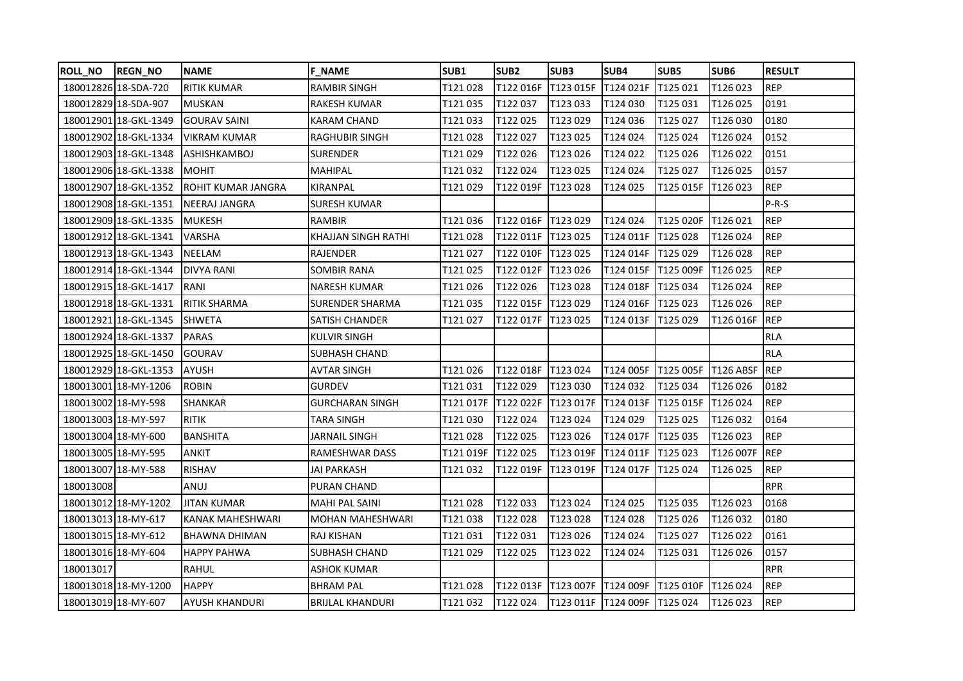| ROLL NO   | <b>REGN_NO</b>        | <b>NAME</b>           | <b>F NAME</b>           | SUB1     | SUB <sub>2</sub>                        | SUB <sub>3</sub>             | SUB4                | SUB5      | SUB <sub>6</sub> | <b>RESULT</b> |
|-----------|-----------------------|-----------------------|-------------------------|----------|-----------------------------------------|------------------------------|---------------------|-----------|------------------|---------------|
|           | 180012826 18-SDA-720  | <b>RITIK KUMAR</b>    | <b>RAMBIR SINGH</b>     | T121028  | T122 016F T123 015F                     |                              | T124 021F           | T125 021  | T126 023         | <b>REP</b>    |
|           | 180012829 18-SDA-907  | <b>MUSKAN</b>         | <b>RAKESH KUMAR</b>     | T121035  | T122 037                                | T123 033                     | T124 030            | T125 031  | T126 025         | 0191          |
|           | 180012901 18-GKL-1349 | <b>GOURAV SAINI</b>   | KARAM CHAND             | T121033  | T122 025                                | T123 029                     | T124 036            | T125 027  | T126 030         | 0180          |
|           | 180012902 18-GKL-1334 | <b>VIKRAM KUMAR</b>   | <b>RAGHUBIR SINGH</b>   | T121028  | T122 027                                | T123 025                     | T124 024            | T125 024  | T126024          | 0152          |
|           | 180012903 18-GKL-1348 | <b>ASHISHKAMBOJ</b>   | <b>SURENDER</b>         | T121029  | T122 026                                | T123 026                     | T124 022            | T125 026  | T126 022         | 0151          |
|           | 180012906 18-GKL-1338 | <b>MOHIT</b>          | <b>MAHIPAL</b>          | T121032  | T122 024                                | T123 025                     | T124 024            | T125 027  | T126 025         | 0157          |
|           | 180012907 18-GKL-1352 | ROHIT KUMAR JANGRA    | KIRANPAL                | T121029  | T122 019F   T123 028                    |                              | T124 025            | T125 015F | <b>T126023</b>   | <b>REP</b>    |
|           | 180012908 18-GKL-1351 | <b>NEERAJ JANGRA</b>  | <b>SURESH KUMAR</b>     |          |                                         |                              |                     |           |                  | $P-R-S$       |
|           | 180012909 18-GKL-1335 | <b>MUKESH</b>         | RAMBIR                  | T121036  | T122 016F   T123 029                    |                              | T124 024            | T125 020F | T126 021         | <b>REP</b>    |
|           | 180012912 18-GKL-1341 | <b>VARSHA</b>         | KHAJJAN SINGH RATHI     | T121028  | T122 011F   T123 025                    |                              | T124 011F           | T125 028  | T126024          | <b>REP</b>    |
|           | 180012913 18-GKL-1343 | <b>NEELAM</b>         | RAJENDER                | T121027  | T122 010F                               | T123 025                     | T124 014F           | T125 029  | T126 028         | <b>REP</b>    |
|           | 180012914 18-GKL-1344 | <b>DIVYA RANI</b>     | <b>SOMBIR RANA</b>      | T121025  | T122 012F   T123 026                    |                              | T124 015F           | T125 009F | T126 025         | <b>REP</b>    |
|           | 180012915 18-GKL-1417 | RANI                  | <b>NARESH KUMAR</b>     | T121026  | T122 026                                | T123 028                     | T124 018F           | T125 034  | T126 024         | <b>REP</b>    |
|           | 180012918 18-GKL-1331 | <b>RITIK SHARMA</b>   | <b>SURENDER SHARMA</b>  | T121035  | T122 015F                               | T123 029                     | T124 016F           | T125 023  | T126 026         | <b>REP</b>    |
|           | 180012921 18-GKL-1345 | <b>SHWETA</b>         | SATISH CHANDER          | T121027  | T122 017F                               | T123 025                     | T124 013F           | T125 029  | T126 016F        | <b>REP</b>    |
|           | 180012924 18-GKL-1337 | <b>PARAS</b>          | <b>KULVIR SINGH</b>     |          |                                         |                              |                     |           |                  | <b>RLA</b>    |
|           | 180012925 18-GKL-1450 | <b>GOURAV</b>         | <b>SUBHASH CHAND</b>    |          |                                         |                              |                     |           |                  | <b>RLA</b>    |
|           | 180012929 18-GKL-1353 | AYUSH                 | AVTAR SINGH             | T121026  | T122 018F T123 024                      |                              | T124 005F T125 005F |           | <b>T126 ABSF</b> | <b>IREP</b>   |
|           | 180013001 18-MY-1206  | <b>ROBIN</b>          | GURDEV                  | T121031  | T122 029                                | T123 030                     | T124 032            | T125 034  | T126026          | 0182          |
|           | 180013002 18-MY-598   | SHANKAR               | <b>GURCHARAN SINGH</b>  | T121017F | T122 022F T123 017F                     |                              | T124 013F           | T125 015F | T126 024         | <b>REP</b>    |
|           | 180013003 18-MY-597   | <b>RITIK</b>          | TARA SINGH              | T121030  | T122 024                                | T123 024                     | T124 029            | T125 025  | T126032          | 0164          |
|           | 180013004 18-MY-600   | <b>BANSHITA</b>       | JARNAIL SINGH           | T121028  | T122 025                                | T123 026                     | T124 017F           | T125 035  | T126 023         | <b>REP</b>    |
|           | 180013005 18-MY-595   | ANKIT                 | RAMESHWAR DASS          | T121019F | T122 025                                | T123 019F                    | T124 011F           | T125 023  | T126 007F        | <b>REP</b>    |
|           | 180013007 18-MY-588   | <b>RISHAV</b>         | JAI PARKASH             | T121032  | T122 019F                               | T123 019F                    | T124 017F           | T125 024  | T126025          | <b>REP</b>    |
| 180013008 |                       | ANUJ                  | PURAN CHAND             |          |                                         |                              |                     |           |                  | <b>RPR</b>    |
|           | 180013012 18-MY-1202  | <b>JITAN KUMAR</b>    | <b>MAHI PAL SAINI</b>   | T121028  | T122 033                                | T123 024                     | T124 025            | T125 035  | T126023          | 0168          |
|           | 180013013 18-MY-617   | KANAK MAHESHWARI      | <b>MOHAN MAHESHWARI</b> | T121038  | T122028                                 | T123 028                     | T124 028            | T125 026  | T126032          | 0180          |
|           | 180013015 18-MY-612   | <b>BHAWNA DHIMAN</b>  | <b>RAJ KISHAN</b>       | T121031  | T122 031                                | T123 026                     | T124 024            | T125 027  | T126 022         | 0161          |
|           | 180013016 18-MY-604   | <b>HAPPY PAHWA</b>    | SUBHASH CHAND           | T121029  | T122 025                                | T123 022                     | T124 024            | T125 031  | T126 026         | 0157          |
| 180013017 |                       | RAHUL                 | ASHOK KUMAR             |          |                                         |                              |                     |           |                  | <b>RPR</b>    |
|           | 180013018 18-MY-1200  | <b>HAPPY</b>          | <b>BHRAM PAL</b>        | T121028  | T122 013F T123 007F T124 009F T125 010F |                              |                     |           | T126 024         | <b>REP</b>    |
|           | 180013019 18-MY-607   | <b>AYUSH KHANDURI</b> | <b>BRIJLAL KHANDURI</b> | T121032  | T122 024                                | T123 011F T124 009F T125 024 |                     |           | T126 023         | <b>REP</b>    |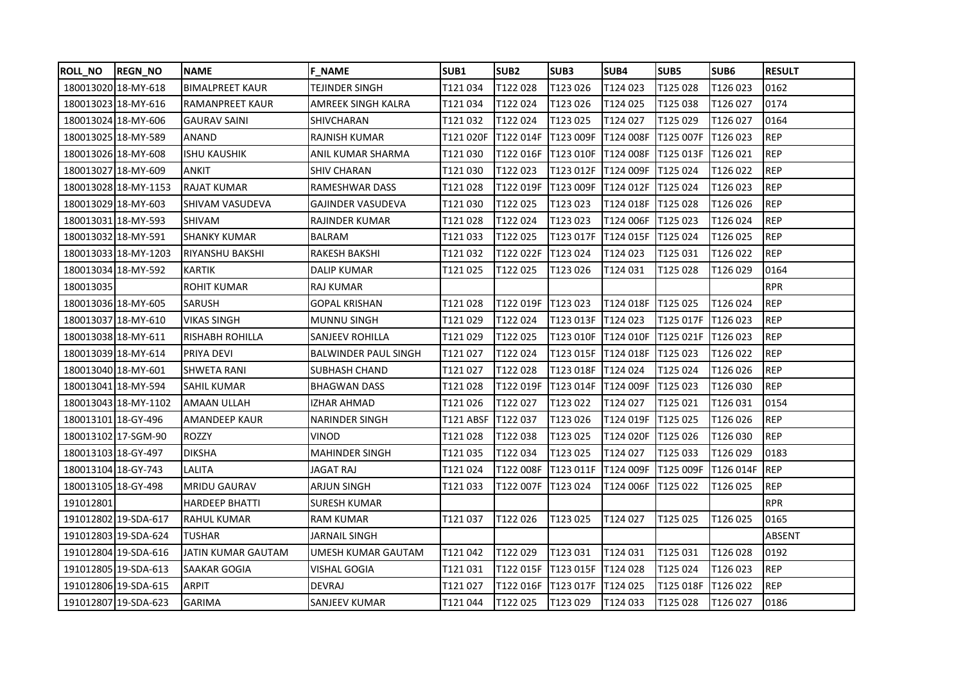| <b>ROLL_NO</b>      | <b>REGN_NO</b>       | <b>NAME</b>            | <b>F NAME</b>               | SUB <sub>1</sub>   | SUB <sub>2</sub>     | SUB3                          | SUB4                 | SUB5             | SUB <sub>6</sub> | <b>RESULT</b> |
|---------------------|----------------------|------------------------|-----------------------------|--------------------|----------------------|-------------------------------|----------------------|------------------|------------------|---------------|
| 180013020 18-MY-618 |                      | <b>BIMALPREET KAUR</b> | TEJINDER SINGH              | T121034            | T122028              | T123 026                      | T124 023             | T125028          | T126 023         | 0162          |
|                     | 180013023 18-MY-616  | <b>RAMANPREET KAUR</b> | AMREEK SINGH KALRA          | T121 034           | T122024              | T123 026                      | T124 025             | T125 038         | T126 027         | 0174          |
| 180013024 18-MY-606 |                      | <b>GAURAV SAINI</b>    | SHIVCHARAN                  | T121 032           | T122024              | T123 025                      | T124 027             | T125 029         | T126 027         | 0164          |
| 180013025 18-MY-589 |                      | ANAND                  | RAJNISH KUMAR               | T121 020F          | T122 014F            | T123 009F                     | T124 008F            | <b>T125 007F</b> | T126 023         | <b>REP</b>    |
| 180013026 18-MY-608 |                      | <b>ISHU KAUSHIK</b>    | ANIL KUMAR SHARMA           | T121 030           | T122 016F            | T123 010F                     | T124 008F            | T125 013F        | T126 021         | <b>REP</b>    |
| 180013027 18-MY-609 |                      | <b>ANKIT</b>           | <b>SHIV CHARAN</b>          | T121030            | T122 023             | T123 012F                     | T124 009F            | T125 024         | T126 022         | <b>REP</b>    |
|                     | 180013028 18-MY-1153 | <b>RAJAT KUMAR</b>     | RAMESHWAR DASS              | T121028            |                      | T122 019F T123 009F T124 012F |                      | T125024          | T126 023         | <b>REP</b>    |
|                     | 180013029 18-MY-603  | SHIVAM VASUDEVA        | <b>GAJINDER VASUDEVA</b>    | T121 030           | T122025              | T123023                       | T124 018F            | T125028          | T126 026         | <b>REP</b>    |
|                     | 180013031118-MY-593  | <b>SHIVAM</b>          | RAJINDER KUMAR              | T121 028           | T122024              | T123023                       | T124 006F            | T125 023         | T126024          | <b>REP</b>    |
| 180013032 18-MY-591 |                      | <b>SHANKY KUMAR</b>    | BALRAM                      | T121 033           | T122 025             | T123 017F                     | T124 015F   T125 024 |                  | T126 025         | <b>REP</b>    |
|                     | 180013033 18-MY-1203 | <b>RIYANSHU BAKSHI</b> | RAKESH BAKSHI               | T121 032           | T122 022F            | T123 024                      | T124 023             | T125 031         | T126 022         | <b>REP</b>    |
| 180013034 18-MY-592 |                      | <b>KARTIK</b>          | DALIP KUMAR                 | T121025            | T122025              | T123 026                      | T124 031             | T125 028         | T126029          | 0164          |
| 180013035           |                      | <b>ROHIT KUMAR</b>     | RAJ KUMAR                   |                    |                      |                               |                      |                  |                  | <b>RPR</b>    |
| 180013036 18-MY-605 |                      | <b>SARUSH</b>          | <b>GOPAL KRISHAN</b>        | T121028            | T122 019F   T123 023 |                               | T124 018F T125 025   |                  | T126024          | <b>REP</b>    |
|                     | 180013037 18-MY-610  | <b>VIKAS SINGH</b>     | <b>MUNNU SINGH</b>          | T121 029           | T122 024             | T123 013F T124 023            |                      | T125 017F        | T126 023         | <b>REP</b>    |
|                     | 180013038 18-MY-611  | RISHABH ROHILLA        | SANJEEV ROHILLA             | T121029            | T122 025             | T123 010F T124 010F           |                      | T125 021F        | T126 023         | <b>REP</b>    |
| 180013039 18-MY-614 |                      | <b>PRIYA DEVI</b>      | <b>BALWINDER PAUL SINGH</b> | T121 027           | T122024              | T123 015F                     | IT124 018F           | T125 023         | T126 022         | <b>REP</b>    |
| 180013040 18-MY-601 |                      | <b>SHWETA RANI</b>     | SUBHASH CHAND               | T121 027           | T122028              | T123 018F                     | T124 024             | T125 024         | T126026          | <b>REP</b>    |
|                     | 180013041 18-MY-594  | <b>SAHIL KUMAR</b>     | <b>BHAGWAN DASS</b>         | T121 028           | T122 019F            | T123 014F                     | T124 009F            | T125 023         | T126 030         | <b>REP</b>    |
|                     | 180013043 18-MY-1102 | <b>AMAAN ULLAH</b>     | IZHAR AHMAD                 | T121 026           | T122027              | T123 022                      | T124 027             | T125 021         | T126 031         | 0154          |
| 180013101 18-GY-496 |                      | <b>AMANDEEP KAUR</b>   | <b>NARINDER SINGH</b>       | T121 ABSF T122 037 |                      | T123 026                      | T124 019F            | T125 025         | T126 026         | <b>REP</b>    |
|                     | 180013102 17-SGM-90  | <b>ROZZY</b>           | VINOD                       | T121 028           | T122 038             | T123 025                      | T124 020F            | T125 026         | T126 030         | <b>REP</b>    |
| 180013103 18-GY-497 |                      | <b>DIKSHA</b>          | <b>MAHINDER SINGH</b>       | T121 035           | T122 034             | T123 025                      | T124 027             | T125 033         | T126029          | 0183          |
| 180013104 18-GY-743 |                      | LALITA                 | JAGAT RAJ                   | T121024            | T122 008F            | T123 011F                     | T124 009F            | T125 009F        | T126 014F        | <b>REP</b>    |
| 180013105 18-GY-498 |                      | <b>MRIDU GAURAV</b>    | ARJUN SINGH                 | T121 033           | T122 007F            | T123 024                      | T124 006F            | T125 022         | T126 025         | <b>REP</b>    |
| 191012801           |                      | <b>HARDEEP BHATTI</b>  | SURESH KUMAR                |                    |                      |                               |                      |                  |                  | <b>RPR</b>    |
|                     | 191012802119-SDA-617 | <b>RAHUL KUMAR</b>     | RAM KUMAR                   | T121 037           | T122026              | T123 025                      | T124 027             | T125 025         | T126 025         | 0165          |
|                     | 191012803 19-SDA-624 | TUSHAR                 | <b>JARNAIL SINGH</b>        |                    |                      |                               |                      |                  |                  | ABSENT        |
|                     | 191012804 19-SDA-616 | JATIN KUMAR GAUTAM     | UMESH KUMAR GAUTAM          | T121 042           | T122029              | T123 031                      | T124 031             | T125 031         | T126 028         | 0192          |
|                     | 191012805 19-SDA-613 | <b>SAAKAR GOGIA</b>    | VISHAL GOGIA                | T121 031           | T122 015F            | T123 015F T124 028            |                      | T125 024         | T126023          | <b>REP</b>    |
|                     | 191012806 19-SDA-615 | <b>ARPIT</b>           | <b>DEVRAJ</b>               | T121 027           | T122 016F            | T123 017F                     | T124 025             | T125 018F        | T126 022         | <b>REP</b>    |
|                     | 191012807 19-SDA-623 | <b>GARIMA</b>          | SANJEEV KUMAR               | T121 044           | T122 025             | T123 029                      | T124 033             | T125 028         | T126 027         | 0186          |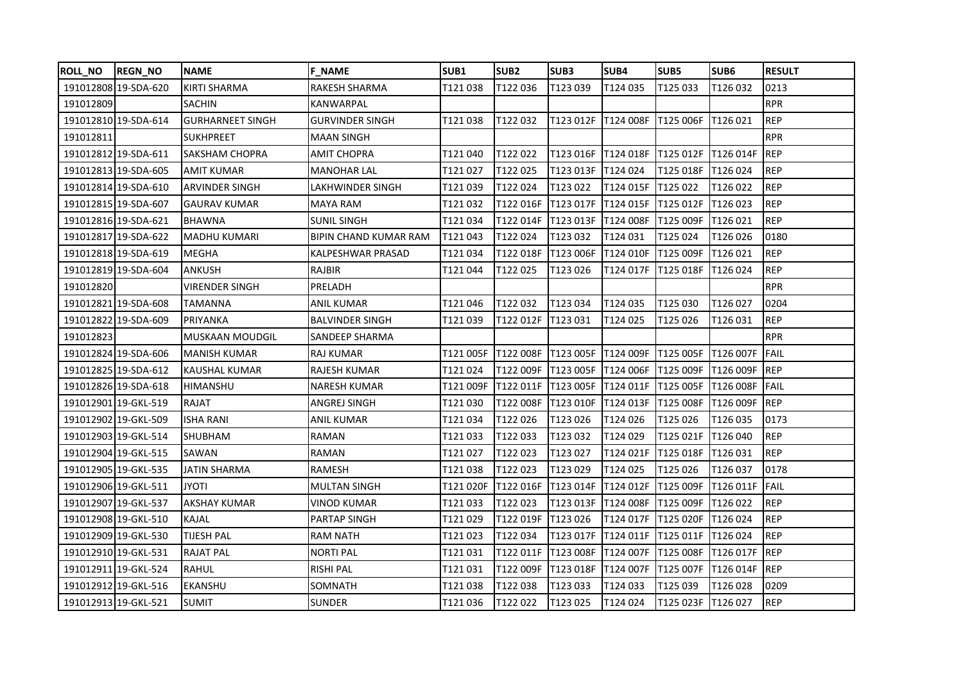| <b>ROLL_NO</b> | <b>REGN_NO</b>       | <b>NAME</b>             | <b>F NAME</b>                | SUB1      | SUB <sub>2</sub>      | SUB3                          | SUB4      | SUB5               | SUB <sub>6</sub>  | <b>RESULT</b> |
|----------------|----------------------|-------------------------|------------------------------|-----------|-----------------------|-------------------------------|-----------|--------------------|-------------------|---------------|
|                | 191012808 19-SDA-620 | <b>KIRTI SHARMA</b>     | <b>RAKESH SHARMA</b>         | T121038   | T122 036              | T123039                       | T124 035  | T125033            | T126032           | 0213          |
| 191012809      |                      | SACHIN                  | <b>KANWARPAL</b>             |           |                       |                               |           |                    |                   | <b>RPR</b>    |
|                | 191012810 19-SDA-614 | <b>GURHARNEET SINGH</b> | <b>GURVINDER SINGH</b>       | T121038   | T122032               | T123 012F                     | T124 008F | T125 006F          | T126 021          | <b>REP</b>    |
| 191012811      |                      | <b>SUKHPREET</b>        | <b>MAAN SINGH</b>            |           |                       |                               |           |                    |                   | <b>RPR</b>    |
|                | 191012812 19-SDA-611 | SAKSHAM CHOPRA          | AMIT CHOPRA                  | T121040   | T122 022              | T123 016F T124 018F T125 012F |           |                    | <b>IT126 014F</b> | <b>IREP</b>   |
|                | 191012813 19-SDA-605 | <b>AMIT KUMAR</b>       | <b>MANOHAR LAL</b>           | T121027   | T122 025              | T123 013F                     | T124 024  | T125 018F          | T126024           | <b>REP</b>    |
|                | 191012814 19-SDA-610 | <b>ARVINDER SINGH</b>   | LAKHWINDER SINGH             | T121039   | T122 024              | T123 022                      | T124 015F | T125 022           | T126022           | <b>REP</b>    |
|                | 191012815 19-SDA-607 | <b>GAURAV KUMAR</b>     | MAYA RAM                     | T121032   | T122 016F             | T123 017F                     | T124 015F | T125 012F          | T126 023          | <b>REP</b>    |
|                | 191012816 19-SDA-621 | <b>BHAWNA</b>           | <b>SUNIL SINGH</b>           | T121034   | T122 014F   T123 013F |                               | T124 008F | T125 009F          | T126 021          | <b>REP</b>    |
|                | 191012817 19-SDA-622 | <b>MADHU KUMARI</b>     | <b>BIPIN CHAND KUMAR RAM</b> | T121043   | T122 024              | T123 032                      | T124 031  | T125 024           | T126 026          | 0180          |
|                | 191012818 19-SDA-619 | MEGHA                   | KALPESHWAR PRASAD            | T121 034  | T122 018F             | T123 006F                     | T124 010F | T125 009F          | T126 021          | <b>REP</b>    |
|                | 191012819 19-SDA-604 | ANKUSH                  | <b>RAJBIR</b>                | T121044   | T122 025              | T123 026                      | T124 017F | T125 018F          | T126024           | <b>REP</b>    |
| 191012820      |                      | <b>VIRENDER SINGH</b>   | PRELADH                      |           |                       |                               |           |                    |                   | <b>RPR</b>    |
|                | 191012821 19-SDA-608 | TAMANNA                 | <b>ANIL KUMAR</b>            | T121046   | T122 032              | T123 034                      | T124 035  | T125 030           | T126 027          | 0204          |
|                | 191012822 19-SDA-609 | PRIYANKA                | <b>BALVINDER SINGH</b>       | T121 039  | T122 012F             | T123 031                      | T124 025  | T125 026           | T126 031          | <b>REP</b>    |
| 191012823      |                      | <b>MUSKAAN MOUDGIL</b>  | <b>SANDEEP SHARMA</b>        |           |                       |                               |           |                    |                   | <b>RPR</b>    |
|                | 191012824 19-SDA-606 | MANISH KUMAR            | RAJ KUMAR                    |           | T121 005F T122 008F   | T123 005F                     | T124 009F | T125 005F          | <b>T126 007F</b>  | <b>IFAIL</b>  |
|                | 191012825 19-SDA-612 | <b>KAUSHAL KUMAR</b>    | RAJESH KUMAR                 | T121024   | T122 009F             | T123 005F                     | T124 006F | T125 009F          | T126 009F REP     |               |
|                | 191012826 19-SDA-618 | HIMANSHU                | <b>NARESH KUMAR</b>          | T121 009F | T122 011F             | T123 005F                     | T124 011F | T125 005F          | T126 008F FAIL    |               |
|                | 191012901 19-GKL-519 | RAJAT                   | ANGREJ SINGH                 | T121030   | T122 008F             | T123 010F                     | T124 013F | T125 008F          | T126 009F         | <b>REP</b>    |
|                | 191012902 19-GKL-509 | <b>ISHA RANI</b>        | <b>ANIL KUMAR</b>            | T121034   | T122 026              | T123 026                      | T124 026  | T125 026           | T126 035          | 0173          |
|                | 191012903 19-GKL-514 | <b>SHUBHAM</b>          | RAMAN                        | T121033   | T122 033              | T123 032                      | T124 029  | T125 021F          | T126 040          | <b>REP</b>    |
|                | 191012904 19-GKL-515 | SAWAN                   | <b>RAMAN</b>                 | T121027   | T122 023              | T123 027                      | T124 021F | T125 018F          | T126 031          | <b>REP</b>    |
|                | 191012905 19-GKL-535 | JATIN SHARMA            | <b>RAMESH</b>                | T121038   | T122 023              | T123 029                      | T124 025  | T125 026           | T126 037          | 0178          |
|                | 191012906 19-GKL-511 | <b>ITOYL</b>            | <b>MULTAN SINGH</b>          | T121 020F | T122 016F             | T123 014F                     | T124 012F | T125 009F          | T126 011F         | FAIL          |
|                | 191012907 19-GKL-537 | AKSHAY KUMAR            | VINOD KUMAR                  | T121033   | T122 023              | T123 013F                     | T124 008F | T125 009F          | T126 022          | <b>REP</b>    |
|                | 191012908 19-GKL-510 | KAJAL                   | <b>PARTAP SINGH</b>          | T121029   | T122 019F             | T123 026                      | T124 017F | T125 020F          | T126 024          | <b>REP</b>    |
|                | 191012909 19-GKL-530 | TIJESH PAL              | RAM NATH                     | T121023   | T122 034              | T123 017F                     | T124 011F | T125 011F          | T126 024          | <b>REP</b>    |
|                | 191012910 19-GKL-531 | <b>RAJAT PAL</b>        | <b>NORTI PAL</b>             | T121031   | T122 011F             | T123 008F                     | T124 007F | T125 008F          | T126 017F         | <b>IREP</b>   |
|                | 191012911 19-GKL-524 | RAHUL                   | <b>RISHI PAL</b>             | T121031   | T122 009F             | T123 018F                     | T124 007F | T125 007F          | T126 014F REP     |               |
|                | 191012912 19-GKL-516 | <b>EKANSHU</b>          | SOMNATH                      | T121038   | T122 038              | T123 033                      | T124 033  | T125039            | T126 028          | 0209          |
|                | 191012913 19-GKL-521 | <b>SUMIT</b>            | <b>SUNDER</b>                | T121036   | T122 022              | T123 025                      | T124 024  | T125 023F T126 027 |                   | <b>REP</b>    |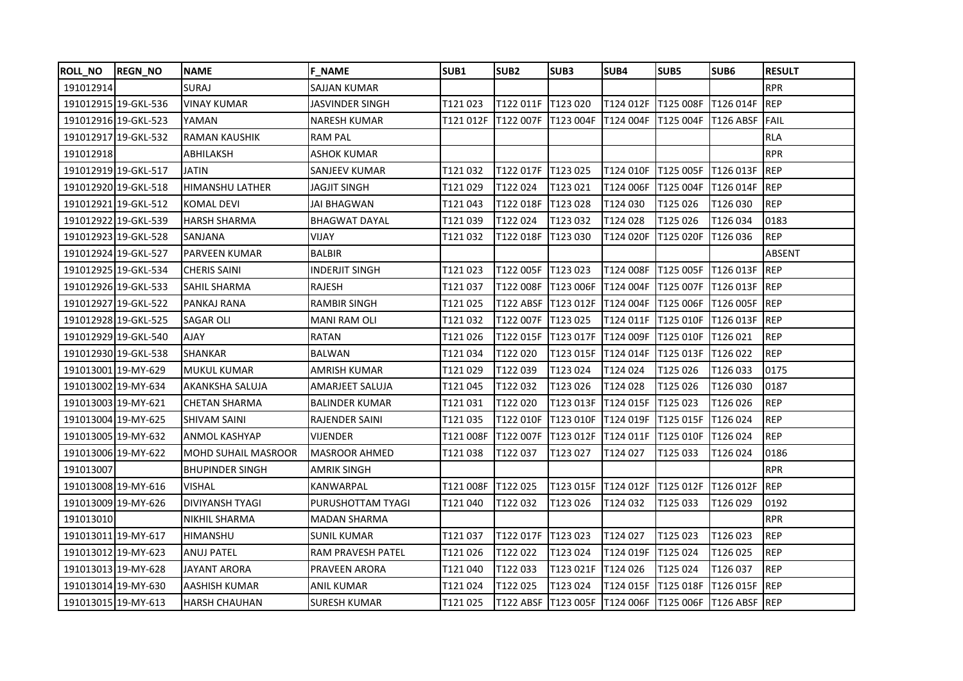| <b>ROLL_NO</b>      | <b>REGN_NO</b>       | <b>NAME</b>                | <b>F NAME</b>         | SUB1      | SUB <sub>2</sub>     | SUB3                | SUB4      | SUB5                                    | SUB <sub>6</sub>      | <b>RESULT</b> |
|---------------------|----------------------|----------------------------|-----------------------|-----------|----------------------|---------------------|-----------|-----------------------------------------|-----------------------|---------------|
| 191012914           |                      | <b>SURAJ</b>               | <b>SAJJAN KUMAR</b>   |           |                      |                     |           |                                         |                       | <b>RPR</b>    |
|                     | 191012915 19-GKL-536 | <b>VINAY KUMAR</b>         | JASVINDER SINGH       | T121023   | T122 011F   T123 020 |                     |           | T124 012F   T125 008F   T126 014F   REP |                       |               |
|                     | 191012916 19-GKL-523 | YAMAN                      | <b>NARESH KUMAR</b>   | T121 012F | T122 007F            | T123 004F           | T124 004F | T125 004F                               | <b>T126 ABSF FAIL</b> |               |
|                     | 191012917 19-GKL-532 | <b>RAMAN KAUSHIK</b>       | <b>RAM PAL</b>        |           |                      |                     |           |                                         |                       | <b>RLA</b>    |
| 191012918           |                      | ABHILAKSH                  | ASHOK KUMAR           |           |                      |                     |           |                                         |                       | <b>RPR</b>    |
|                     | 191012919 19-GKL-517 | <b>JATIN</b>               | <b>SANJEEV KUMAR</b>  | T121032   | T122 017F T123 025   |                     | T124 010F | T125 005F                               | T126 013F             | REP           |
|                     | 191012920 19-GKL-518 | <b>HIMANSHU LATHER</b>     | JAGJIT SINGH          | T121 029  | T122 024             | T123 021            | T124 006F | T125 004F                               | T126 014F REP         |               |
|                     | 191012921 19-GKL-512 | <b>KOMAL DEVI</b>          | <b>JAI BHAGWAN</b>    | T121043   | T122 018F            | T123 028            | T124 030  | T125 026                                | T126 030              | <b>REP</b>    |
|                     | 191012922 19-GKL-539 | <b>HARSH SHARMA</b>        | <b>BHAGWAT DAYAL</b>  | T121039   | T122 024             | T123 032            | T124 028  | T125 026                                | T126034               | 0183          |
|                     | 191012923 19-GKL-528 | SANJANA                    | <b>VIJAY</b>          | T121032   | T122 018F            | T123 030            | T124 020F | T125 020F                               | T126 036              | <b>REP</b>    |
|                     | 191012924 19-GKL-527 | <b>PARVEEN KUMAR</b>       | <b>BALBIR</b>         |           |                      |                     |           |                                         |                       | ABSENT        |
|                     | 191012925 19-GKL-534 | <b>CHERIS SAINI</b>        | <b>INDERJIT SINGH</b> | T121023   | T122 005F            | T123 023            | T124 008F | T125 005F                               | <b>IT126 013F</b>     | <b>REP</b>    |
|                     | 191012926 19-GKL-533 | SAHIL SHARMA               | RAJESH                | T121037   | T122 008F            | T123 006F           | T124 004F | <b>T125 007F</b>                        | T126 013F REP         |               |
|                     | 191012927 19-GKL-522 | PANKAJ RANA                | <b>RAMBIR SINGH</b>   | T121025   | T122 ABSF            | T123 012F           | T124 004F | T125 006F                               | T126 005F REP         |               |
|                     | 191012928 19-GKL-525 | SAGAR OLI                  | <b>MANI RAM OLI</b>   | T121032   | T122 007F            | T123 025            | T124 011F | T125 010F                               | <b>T126 013F REP</b>  |               |
|                     | 191012929 19-GKL-540 | YALA                       | <b>RATAN</b>          | T121026   | T122 015F            | T123 017F           | T124 009F | T125 010F                               | T126 021              | <b>REP</b>    |
|                     | 191012930 19-GKL-538 | <b>SHANKAR</b>             | <b>BALWAN</b>         | T121034   | T122 020             | T123 015F           | T124 014F | T125 013F                               | T126 022              | <b>REP</b>    |
|                     | 191013001 19-MY-629  | <b>MUKUL KUMAR</b>         | AMRISH KUMAR          | T121 029  | T122039              | T123 024            | T124 024  | T125 026                                | T126033               | 0175          |
|                     | 191013002 19-MY-634  | AKANKSHA SALUJA            | AMARJEET SALUJA       | T121045   | T122 032             | T123 026            | T124 028  | T125026                                 | T126030               | 0187          |
| 191013003 19-MY-621 |                      | <b>CHETAN SHARMA</b>       | <b>BALINDER KUMAR</b> | T121031   | T122 020             | T123 013F           | T124 015F | T125 023                                | T126 026              | <b>REP</b>    |
|                     | 191013004 19-MY-625  | <b>SHIVAM SAINI</b>        | <b>RAJENDER SAINI</b> | T121035   | T122 010F            | T123 010F           | T124 019F | T125 015F                               | T126024               | <b>REP</b>    |
|                     | 191013005 19-MY-632  | ANMOL KASHYAP              | VIJENDER              | T121 008F | T122 007F            | T123 012F           | T124 011F | T125 010F                               | T126 024              | <b>REP</b>    |
|                     | 191013006 19-MY-622  | <b>MOHD SUHAIL MASROOR</b> | <b>MASROOR AHMED</b>  | T121 038  | T122 037             | T123 027            | T124 027  | T125 033                                | T126 024              | 0186          |
| 191013007           |                      | <b>BHUPINDER SINGH</b>     | AMRIK SINGH           |           |                      |                     |           |                                         |                       | <b>RPR</b>    |
|                     | 191013008 19-MY-616  | <b>VISHAL</b>              | KANWARPAL             | T121 008F | T122 025             | T123 015F T124 012F |           | T125 012F                               | T126 012F REP         |               |
|                     | 191013009 19-MY-626  | <b>DIVIYANSH TYAGI</b>     | PURUSHOTTAM TYAGI     | T121 040  | T122032              | T123 026            | T124 032  | T125033                                 | T126029               | 0192          |
| 191013010           |                      | NIKHIL SHARMA              | <b>MADAN SHARMA</b>   |           |                      |                     |           |                                         |                       | <b>RPR</b>    |
|                     | 191013011 19-MY-617  | <b>HIMANSHU</b>            | <b>SUNIL KUMAR</b>    | T121037   | T122 017F T123 023   |                     | T124 027  | T125 023                                | T126 023              | <b>REP</b>    |
|                     | 191013012 19-MY-623  | <b>ANUJ PATEL</b>          | RAM PRAVESH PATEL     | T121026   | T122 022             | T123 024            | T124 019F | T125 024                                | T126 025              | <b>REP</b>    |
|                     | 191013013 19-MY-628  | JAYANT ARORA               | PRAVEEN ARORA         | T121040   | T122 033             | T123 021F           | T124 026  | T125024                                 | T126 037              | <b>REP</b>    |
|                     | 191013014 19-MY-630  | AASHISH KUMAR              | <b>ANIL KUMAR</b>     | T121024   | T122 025             | T123 024            | T124 015F | T125 018F                               | T126 015F REP         |               |
|                     | 191013015 19-MY-613  | <b>HARSH CHAUHAN</b>       | <b>SURESH KUMAR</b>   | T121025   | T122 ABSF T123 005F  |                     |           | T124 006F T125 006F T126 ABSF REP       |                       |               |